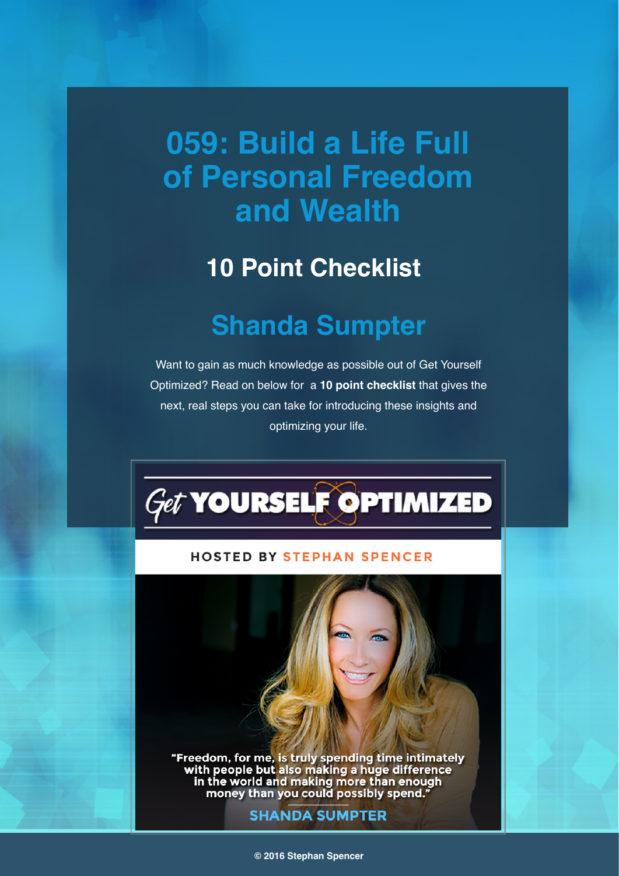# **059: Build a Life Full of Personal Freedom and Wealth**

### **10 Point Checklist**

## **Shanda Sumpter**

Want to gain as much knowledge as possible out of Get Yourself Optimized? Read on below for a **10 point checklist** that gives the next, real steps you can take for introducing these insights and optimizing your life.



#### **HOSTED BY STEPHAN SPENCER**

"Freedom, for me, is truly spending time intimately<br>with people but also making a huge difference<br>in the world and making more than enough<br>money than you could possibly spend."

#### **SHANDA SUMPTER**